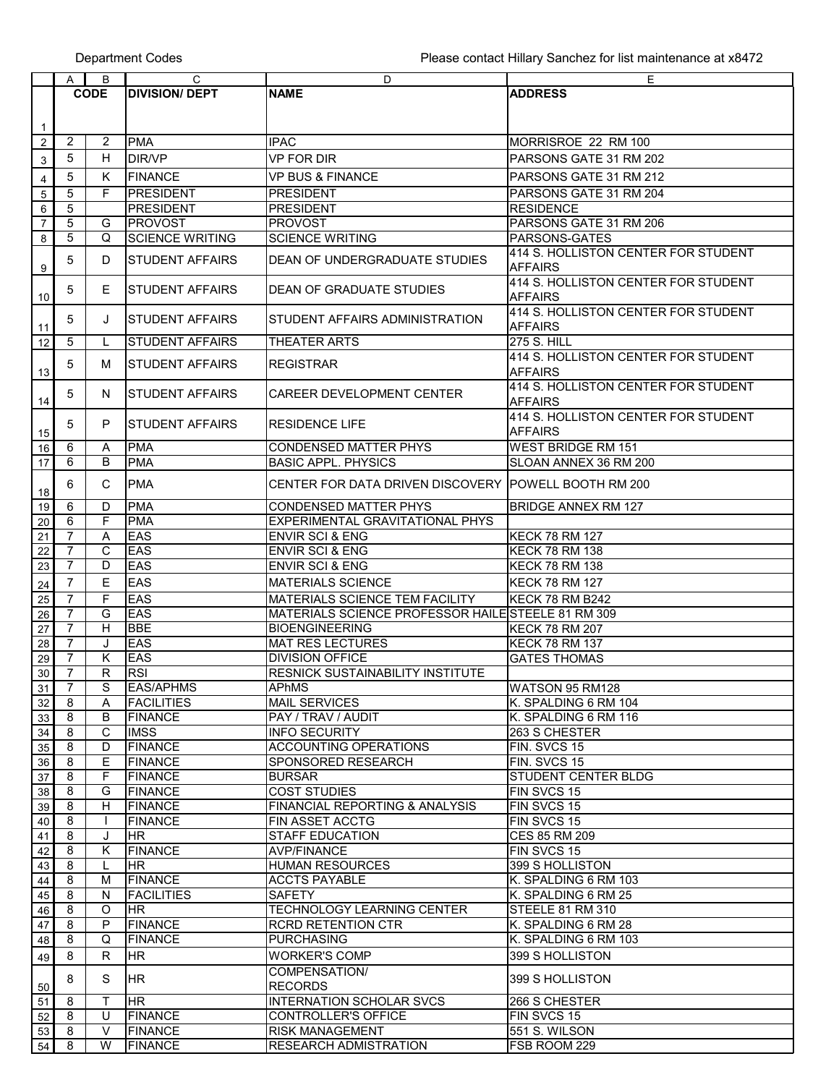|                | A              | В              | C                      | D                                                    | E                                   |
|----------------|----------------|----------------|------------------------|------------------------------------------------------|-------------------------------------|
|                |                | <b>CODE</b>    | <b>DIVISION/ DEPT</b>  | <b>NAME</b>                                          | <b>ADDRESS</b>                      |
|                |                |                |                        |                                                      |                                     |
|                |                |                |                        |                                                      |                                     |
| $\mathbf{1}$   |                |                |                        |                                                      |                                     |
| $\overline{2}$ | 2              | 2              | <b>PMA</b>             | <b>IPAC</b>                                          | MORRISROE 22 RM 100                 |
| 3              | 5              | н              | <b>DIR/VP</b>          | <b>VP FOR DIR</b>                                    | PARSONS GATE 31 RM 202              |
| $\overline{4}$ | 5              | K              | <b>FINANCE</b>         | <b>VP BUS &amp; FINANCE</b>                          | PARSONS GATE 31 RM 212              |
|                | 5              | F              |                        | <b>PRESIDENT</b>                                     |                                     |
| 5              |                |                | PRESIDENT              |                                                      | PARSONS GATE 31 RM 204              |
| 6              | 5              |                | <b>PRESIDENT</b>       | <b>PRESIDENT</b>                                     | <b>RESIDENCE</b>                    |
| $\overline{7}$ | 5              | G              | <b>PROVOST</b>         | <b>PROVOST</b>                                       | PARSONS GATE 31 RM 206              |
| 8              | 5              | Q              | <b>SCIENCE WRITING</b> | <b>SCIENCE WRITING</b>                               | PARSONS-GATES                       |
|                | 5              | D              | <b>STUDENT AFFAIRS</b> | DEAN OF UNDERGRADUATE STUDIES                        | 414 S. HOLLISTON CENTER FOR STUDENT |
| 9              |                |                |                        |                                                      | <b>AFFAIRS</b>                      |
|                | 5              | Е              | STUDENT AFFAIRS        | DEAN OF GRADUATE STUDIES                             | 414 S. HOLLISTON CENTER FOR STUDENT |
| 10             |                |                |                        |                                                      | <b>AFFAIRS</b>                      |
|                |                |                |                        |                                                      | 414 S. HOLLISTON CENTER FOR STUDENT |
| 11             | 5              | J              | <b>STUDENT AFFAIRS</b> | STUDENT AFFAIRS ADMINISTRATION                       | <b>AFFAIRS</b>                      |
| 12             | 5              | L              | <b>STUDENT AFFAIRS</b> | <b>THEATER ARTS</b>                                  | <b>275 S. HILL</b>                  |
|                |                |                |                        |                                                      | 414 S. HOLLISTON CENTER FOR STUDENT |
| 13             | 5              | м              | <b>STUDENT AFFAIRS</b> | <b>REGISTRAR</b>                                     | <b>AFFAIRS</b>                      |
|                |                |                |                        |                                                      | 414 S. HOLLISTON CENTER FOR STUDENT |
|                | 5              | N              | <b>STUDENT AFFAIRS</b> | CAREER DEVELOPMENT CENTER                            |                                     |
| 14             |                |                |                        |                                                      | <b>AFFAIRS</b>                      |
|                | 5              | P              | <b>STUDENT AFFAIRS</b> | <b>RESIDENCE LIFE</b>                                | 414 S. HOLLISTON CENTER FOR STUDENT |
| 15             |                |                |                        |                                                      | <b>AFFAIRS</b>                      |
| 16             | 6              | Α              | <b>PMA</b>             | <b>CONDENSED MATTER PHYS</b>                         | <b>WEST BRIDGE RM 151</b>           |
| 17             | 6              | B              | <b>PMA</b>             | <b>BASIC APPL. PHYSICS</b>                           | SLOAN ANNEX 36 RM 200               |
|                |                |                |                        |                                                      |                                     |
| 18             | 6              | C              | <b>PMA</b>             | CENTER FOR DATA DRIVEN DISCOVERY POWELL BOOTH RM 200 |                                     |
| 19             | 6              | D              | <b>PMA</b>             | <b>CONDENSED MATTER PHYS</b>                         | <b>BRIDGE ANNEX RM 127</b>          |
| 20             | 6              | F              | <b>PMA</b>             | EXPERIMENTAL GRAVITATIONAL PHYS                      |                                     |
| 21             | $\overline{7}$ | Α              | <b>EAS</b>             | <b>ENVIR SCI &amp; ENG</b>                           | <b>KECK 78 RM 127</b>               |
| 22             | $\overline{7}$ | C              | <b>EAS</b>             | <b>ENVIR SCI &amp; ENG</b>                           | <b>KECK 78 RM 138</b>               |
|                | $\overline{7}$ | D              | EAS                    | <b>ENVIR SCI &amp; ENG</b>                           | <b>KECK 78 RM 138</b>               |
| 23             |                |                |                        |                                                      |                                     |
| 24             | $\overline{7}$ | E              | EAS                    | <b>MATERIALS SCIENCE</b>                             | <b>KECK 78 RM 127</b>               |
| 25             | $\overline{7}$ | F              | EAS                    | <b>MATERIALS SCIENCE TEM FACILITY</b>                | <b>KECK 78 RM B242</b>              |
| 26             | $\overline{7}$ | G              | <b>EAS</b>             | MATERIALS SCIENCE PROFESSOR HAILE STEELE 81 RM 309   |                                     |
| 27             | $\overline{7}$ | H              | <b>BBE</b>             | <b>BIOENGINEERING</b>                                | <b>KECK 78 RM 207</b>               |
| 28             | $\overline{7}$ | J              | <b>EAS</b>             | <b>MAT RES LECTURES</b>                              | <b>KECK 78 RM 137</b>               |
| 29             | $\overline{7}$ | Κ              | <b>EAS</b>             | <b>DIVISION OFFICE</b>                               | <b>GATES THOMAS</b>                 |
| 30             | $\overline{7}$ | $\mathsf{R}$   | RSI                    | RESNICK SUSTAINABILITY INSTITUTE                     |                                     |
| 31             | $\overline{7}$ | $\overline{s}$ | EAS/APHMS              | APhMS                                                | WATSON 95 RM128                     |
| 32             | 8              | Α              | FACILITIES             | MAIL SERVICES                                        | K. SPALDING 6 RM 104                |
| 33             | 8              | B              | <b>FINANCE</b>         | PAY / TRAV / AUDIT                                   | K. SPALDING 6 RM 116                |
| 34             | 8              | С              | <b>IMSS</b>            | <b>INFO SECURITY</b>                                 | 263 S CHESTER                       |
|                | 8              | D              | <b>FINANCE</b>         | ACCOUNTING OPERATIONS                                | FIN. SVCS 15                        |
| 35             | 8              | Е              |                        |                                                      |                                     |
| $36\,$         |                |                | <b>FINANCE</b>         | SPONSORED RESEARCH                                   | FIN. SVCS 15                        |
| 37             | 8              | F              | <b>FINANCE</b>         | <b>BURSAR</b>                                        | STUDENT CENTER BLDG                 |
| 38             | 8              | G              | FINANCE                | <b>COST STUDIES</b>                                  | FIN SVCS 15                         |
| 39             | 8              | Н              | <b>FINANCE</b>         | FINANCIAL REPORTING & ANALYSIS                       | FIN SVCS 15                         |
| 40             | 8              |                | FINANCE                | <b>FIN ASSET ACCTG</b>                               | FIN SVCS 15                         |
| 41             | 8              | J              | HR                     | <b>STAFF EDUCATION</b>                               | CES 85 RM 209                       |
| 42             | 8              | Κ              | FINANCE                | <b>AVP/FINANCE</b>                                   | FIN SVCS 15                         |
| 43             | 8              | L              | HR.                    | <b>HUMAN RESOURCES</b>                               | 399 S HOLLISTON                     |
| 44             | 8              | м              | FINANCE                | <b>ACCTS PAYABLE</b>                                 | K. SPALDING 6 RM 103                |
| 45             | 8              | N              | <b>FACILITIES</b>      | <b>SAFETY</b>                                        | K. SPALDING 6 RM 25                 |
| 46             | 8              | O              | HR.                    | <b>TECHNOLOGY LEARNING CENTER</b>                    | STEELE 81 RM 310                    |
| 47             | 8              | P              | <b>FINANCE</b>         | <b>RCRD RETENTION CTR</b>                            | K. SPALDING 6 RM 28                 |
| 48             | 8              | Q              | FINANCE                | <b>PURCHASING</b>                                    | K. SPALDING 6 RM 103                |
|                | 8              | R              | HR.                    | <b>WORKER'S COMP</b>                                 | 399 S HOLLISTON                     |
| 49             |                |                |                        |                                                      |                                     |
|                | 8              | S              | HR                     | COMPENSATION/                                        | 399 S HOLLISTON                     |
| 50             |                |                |                        | <b>RECORDS</b>                                       |                                     |
| 51             | 8              | Т              | HR                     | <b>INTERNATION SCHOLAR SVCS</b>                      | 266 S CHESTER                       |
| 52             | 8              | U              | <b>FINANCE</b>         | <b>CONTROLLER'S OFFICE</b>                           | FIN SVCS 15                         |
| 53             | 8              | V              | <b>FINANCE</b>         | <b>RISK MANAGEMENT</b>                               | 551 S. WILSON                       |
| 54             | 8              | W              | FINANCE                | <b>RESEARCH ADMISTRATION</b>                         | FSB ROOM 229                        |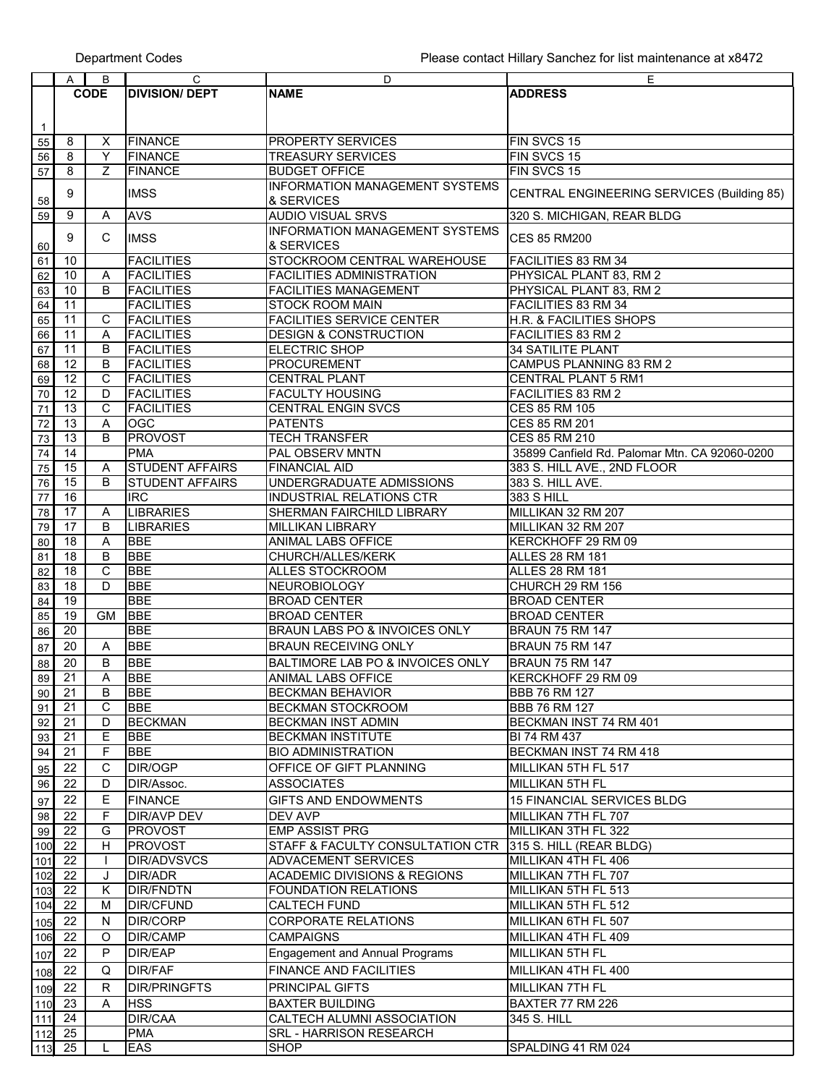|                 | A               | в           | C                      | D                                     | E                                             |
|-----------------|-----------------|-------------|------------------------|---------------------------------------|-----------------------------------------------|
|                 |                 | <b>CODE</b> | <b>DIVISION/ DEPT</b>  | <b>NAME</b>                           | <b>ADDRESS</b>                                |
|                 |                 |             |                        |                                       |                                               |
|                 |                 |             |                        |                                       |                                               |
| $\mathbf{1}$    |                 |             |                        |                                       |                                               |
| 55              | 8               | X           | FINANCE                | PROPERTY SERVICES                     | <b>FIN SVCS 15</b>                            |
| 56              | 8               | Y           | FINANCE                | <b>TREASURY SERVICES</b>              | FIN SVCS 15                                   |
| 57              | 8               | Z           | <b>FINANCE</b>         | <b>BUDGET OFFICE</b>                  | FIN SVCS 15                                   |
|                 |                 |             |                        | INFORMATION MANAGEMENT SYSTEMS        |                                               |
| 58              | 9               |             | <b>IMSS</b>            | & SERVICES                            | CENTRAL ENGINEERING SERVICES (Building 85)    |
| 59              | 9               | A           | <b>AVS</b>             | <b>AUDIO VISUAL SRVS</b>              | 320 S. MICHIGAN, REAR BLDG                    |
|                 |                 |             |                        | <b>INFORMATION MANAGEMENT SYSTEMS</b> |                                               |
|                 | 9               | C           | <b>IMSS</b>            |                                       | <b>CES 85 RM200</b>                           |
| 60              |                 |             |                        | & SERVICES                            |                                               |
| 61              | 10              |             | <b>FACILITIES</b>      | STOCKROOM CENTRAL WAREHOUSE           | <b>FACILITIES 83 RM 34</b>                    |
| 62              | 10              | Α           | <b>FACILITIES</b>      | <b>FACILITIES ADMINISTRATION</b>      | PHYSICAL PLANT 83, RM 2                       |
| 63              | 10              | B           | <b>FACILITIES</b>      | <b>FACILITIES MANAGEMENT</b>          | PHYSICAL PLANT 83, RM 2                       |
| 64              | 11              |             | <b>FACILITIES</b>      | <b>STOCK ROOM MAIN</b>                | FACILITIES 83 RM 34                           |
| 65              | 11              | С           | <b>FACILITIES</b>      | <b>FACILITIES SERVICE CENTER</b>      | H.R. & FACILITIES SHOPS                       |
| 66              | 11              | Α           | <b>FACILITIES</b>      | <b>DESIGN &amp; CONSTRUCTION</b>      | <b>FACILITIES 83 RM 2</b>                     |
| 67              | 11              | B           | <b>FACILITIES</b>      | <b>ELECTRIC SHOP</b>                  | <b>34 SATILITE PLANT</b>                      |
| 68              | 12              | B           | <b>FACILITIES</b>      | <b>PROCUREMENT</b>                    | CAMPUS PLANNING 83 RM 2                       |
| 69              | 12              | C           | <b>FACILITIES</b>      | <b>CENTRAL PLANT</b>                  | <b>CENTRAL PLANT 5 RM1</b>                    |
|                 |                 |             |                        |                                       |                                               |
| 70              | 12              | D           | <b>FACILITIES</b>      | <b>FACULTY HOUSING</b>                | <b>FACILITIES 83 RM 2</b>                     |
| 71              | 13              | C           | <b>FACILITIES</b>      | <b>CENTRAL ENGIN SVCS</b>             | CES 85 RM 105                                 |
| $\overline{72}$ | $\overline{13}$ | Α           | OGC                    | <b>PATENTS</b>                        | CES 85 RM 201                                 |
| 73              | 13              | B           | PROVOST                | <b>TECH TRANSFER</b>                  | CES 85 RM 210                                 |
| 74              | 14              |             | <b>PMA</b>             | PAL OBSERV MNTN                       | 35899 Canfield Rd. Palomar Mtn. CA 92060-0200 |
| 75              | 15              | Α           | <b>STUDENT AFFAIRS</b> | <b>FINANCIAL AID</b>                  | 383 S. HILL AVE., 2ND FLOOR                   |
| 76              | 15              | B           | <b>STUDENT AFFAIRS</b> | UNDERGRADUATE ADMISSIONS              | 383 S. HILL AVE.                              |
| $\overline{77}$ | 16              |             | <b>IRC</b>             | INDUSTRIAL RELATIONS CTR              | 383 S HILL                                    |
| 78              | 17              | A           | <b>LIBRARIES</b>       | SHERMAN FAIRCHILD LIBRARY             | MILLIKAN 32 RM 207                            |
| 79              | 17              | B           | <b>LIBRARIES</b>       | MILLIKAN LIBRARY                      | MILLIKAN 32 RM 207                            |
|                 | 18              |             |                        |                                       |                                               |
| 80              |                 | Α           | <b>BBE</b>             | ANIMAL LABS OFFICE                    | KERCKHOFF 29 RM 09                            |
| 81              | 18              | B           | <b>BBE</b>             | CHURCH/ALLES/KERK                     | <b>ALLES 28 RM 181</b>                        |
| 82              | 18              | С           | <b>BBE</b>             | ALLES STOCKROOM                       | <b>ALLES 28 RM 181</b>                        |
| 83              | 18              | D           | <b>BBE</b>             | <b>NEUROBIOLOGY</b>                   | CHURCH 29 RM 156                              |
| 84              | 19              |             | <b>BBE</b>             | <b>BROAD CENTER</b>                   | <b>BROAD CENTER</b>                           |
| 85              | 19              | GM          | <b>BBE</b>             | <b>BROAD CENTER</b>                   | <b>BROAD CENTER</b>                           |
| 86              | 20              |             | <b>BBE</b>             | BRAUN LABS PO & INVOICES ONLY         | <b>BRAUN 75 RM 147</b>                        |
| 87              | 20              | A           | <b>BBE</b>             | <b>BRAUN RECEIVING ONLY</b>           | BRAUN 75 RM 147                               |
| 88              | 20              | B           | <b>BBE</b>             | BALTIMORE LAB PO & INVOICES ONLY      | BRAUN 75 RM 147                               |
| 89              | $\overline{21}$ | A           | <b>BBE</b>             | ANIMAL LABS OFFICE                    | KERCKHOFF 29 RM 09                            |
|                 | 21              | B           | <b>BBE</b>             | <b>BECKMAN BEHAVIOR</b>               | <b>BBB 76 RM 127</b>                          |
| 90 <sub>1</sub> |                 |             |                        |                                       |                                               |
| 91              | 21              | С           | <b>BBE</b>             | BECKMAN STOCKROOM                     | <b>BBB 76 RM 127</b>                          |
| 92              | 21              | D           | <b>BECKMAN</b>         | <b>BECKMAN INST ADMIN</b>             | BECKMAN INST 74 RM 401                        |
| 93              | 21              | Е           | BBE                    | <b>BECKMAN INSTITUTE</b>              | BI 74 RM 437                                  |
| 94              | 21              | F           | <b>BBE</b>             | <b>BIO ADMINISTRATION</b>             | BECKMAN INST 74 RM 418                        |
| 95              | 22              | С           | DIR/OGP                | OFFICE OF GIFT PLANNING               | MILLIKAN 5TH FL 517                           |
| 96              | $\overline{22}$ | D           | DIR/Assoc.             | <b>ASSOCIATES</b>                     | MILLIKAN 5TH FL                               |
| 97              | 22              | Ε           | <b>FINANCE</b>         | GIFTS AND ENDOWMENTS                  | 15 FINANCIAL SERVICES BLDG                    |
| 98              | 22              | F           | <b>DIR/AVP DEV</b>     | DEV AVP                               | MILLIKAN 7TH FL 707                           |
|                 | 22              | G           | <b>PROVOST</b>         | <b>EMP ASSIST PRG</b>                 | MILLIKAN 3TH FL 322                           |
| 99              |                 |             |                        |                                       |                                               |
| 100             | 22              | H           | <b>PROVOST</b>         | STAFF & FACULTY CONSULTATION CTR      | 315 S. HILL (REAR BLDG)                       |
| 101             | 22              |             | DIR/ADVSVCS            | <b>ADVACEMENT SERVICES</b>            | MILLIKAN 4TH FL 406                           |
| 102             | 22              | J           | DIR/ADR                | ACADEMIC DIVISIONS & REGIONS          | MILLIKAN 7TH FL 707                           |
| 103             | 22              | Κ           | <b>DIR/FNDTN</b>       | FOUNDATION RELATIONS                  | MILLIKAN 5TH FL 513                           |
| 104             | 22              | м           | DIR/CFUND              | <b>CALTECH FUND</b>                   | MILLIKAN 5TH FL 512                           |
| 105             | 22              | N.          | DIR/CORP               | <b>CORPORATE RELATIONS</b>            | MILLIKAN 6TH FL 507                           |
| 106             | 22              | O           | DIR/CAMP               | <b>CAMPAIGNS</b>                      | MILLIKAN 4TH FL 409                           |
|                 | 22              | P           | DIR/EAP                | <b>Engagement and Annual Programs</b> | MILLIKAN 5TH FL                               |
| 107             |                 |             |                        |                                       |                                               |
| 108             | 22              | Q           | DIR/FAF                | <b>FINANCE AND FACILITIES</b>         | MILLIKAN 4TH FL 400                           |
| 109             | 22              | R           | <b>DIR/PRINGFTS</b>    | PRINCIPAL GIFTS                       | MILLIKAN 7TH FL                               |
| 110             | 23              | A           | <b>HSS</b>             | <b>BAXTER BUILDING</b>                | BAXTER 77 RM 226                              |
| $111$           | 24              |             | DIR/CAA                | CALTECH ALUMNI ASSOCIATION            | 345 S. HILL                                   |
| 112             | 25              |             | <b>PMA</b>             | SRL - HARRISON RESEARCH               |                                               |
| 113             | 25              | L           | EAS                    | <b>SHOP</b>                           | SPALDING 41 RM 024                            |
|                 |                 |             |                        |                                       |                                               |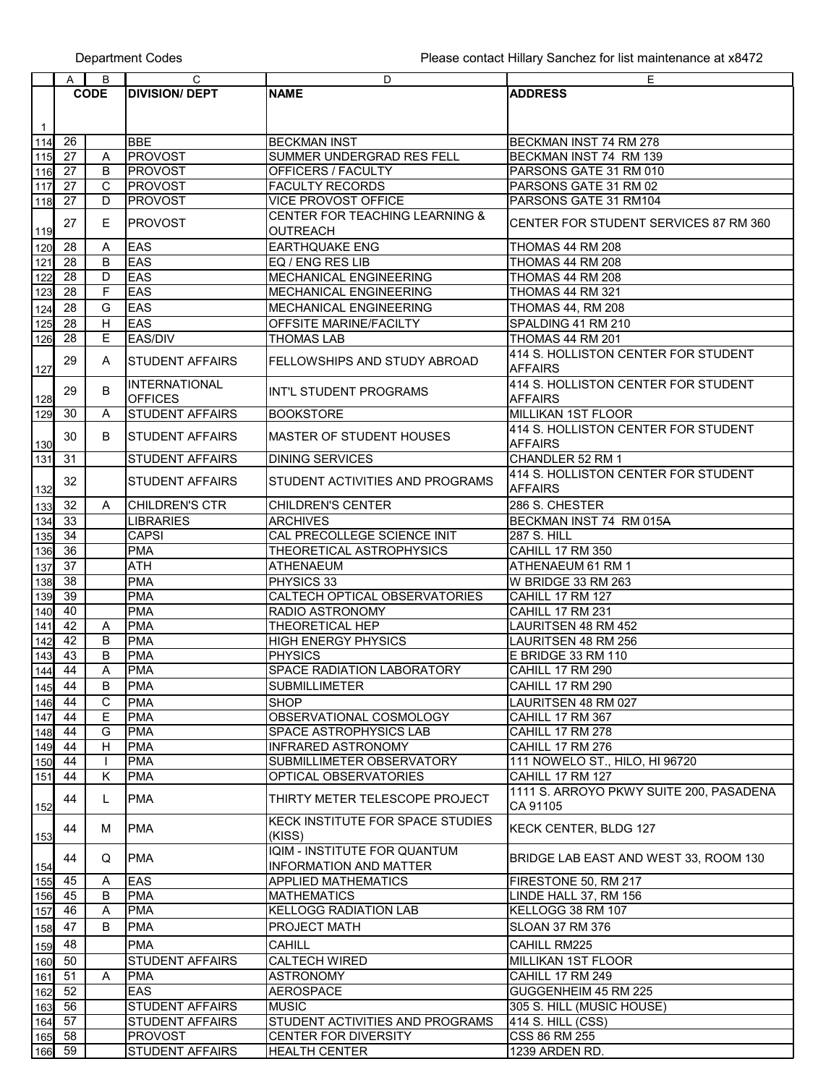|                  | A               | B           | C                      | D                                         | Е                                       |
|------------------|-----------------|-------------|------------------------|-------------------------------------------|-----------------------------------------|
|                  |                 | <b>CODE</b> | <b>DIVISION/ DEPT</b>  | <b>NAME</b>                               | <b>ADDRESS</b>                          |
|                  |                 |             |                        |                                           |                                         |
|                  |                 |             |                        |                                           |                                         |
| $\mathbf{1}$     |                 |             |                        |                                           |                                         |
| 114              | 26              |             | <b>BBE</b>             | <b>BECKMAN INST</b>                       | BECKMAN INST 74 RM 278                  |
| 115              | 27              | Α           | PROVOST                | SUMMER UNDERGRAD RES FELL                 | BECKMAN INST 74 RM 139                  |
| 116              | 27              | B           | <b>PROVOST</b>         | OFFICERS / FACULTY                        | PARSONS GATE 31 RM 010                  |
| 117              | 27              | C           | <b>PROVOST</b>         | <b>FACULTY RECORDS</b>                    | PARSONS GATE 31 RM 02                   |
| 118              | 27              | D           | PROVOST                | VICE PROVOST OFFICE                       | PARSONS GATE 31 RM104                   |
|                  |                 |             |                        | <b>CENTER FOR TEACHING LEARNING &amp;</b> |                                         |
| 119              | 27              | Е           | <b>PROVOST</b>         | <b>OUTREACH</b>                           | CENTER FOR STUDENT SERVICES 87 RM 360   |
| 120              | 28              | Α           | <b>EAS</b>             | <b>EARTHQUAKE ENG</b>                     | THOMAS 44 RM 208                        |
| $121$            | 28              | B           | <b>EAS</b>             | EQ / ENG RES LIB                          | THOMAS 44 RM 208                        |
| $\overline{122}$ | 28              | D           | <b>EAS</b>             | MECHANICAL ENGINEERING                    | THOMAS 44 RM 208                        |
|                  |                 |             |                        |                                           |                                         |
| 123              | 28              | F           | EAS                    | MECHANICAL ENGINEERING                    | THOMAS 44 RM 321                        |
| 124              | 28              | G           | <b>EAS</b>             | MECHANICAL ENGINEERING                    | THOMAS 44, RM 208                       |
| 125              | 28              | H           | <b>EAS</b>             | OFFSITE MARINE/FACILTY                    | SPALDING 41 RM 210                      |
| 126              | 28              | Е           | <b>EAS/DIV</b>         | <b>THOMAS LAB</b>                         | THOMAS 44 RM 201                        |
|                  |                 |             |                        |                                           | 414 S. HOLLISTON CENTER FOR STUDENT     |
| 127              | 29              | A           | <b>STUDENT AFFAIRS</b> | FELLOWSHIPS AND STUDY ABROAD              | <b>AFFAIRS</b>                          |
|                  |                 |             | <b>INTERNATIONAL</b>   |                                           | 414 S. HOLLISTON CENTER FOR STUDENT     |
| 128              | 29              | B           | <b>OFFICES</b>         | INT'L STUDENT PROGRAMS                    | <b>AFFAIRS</b>                          |
| 129              | 30              | A           | <b>STUDENT AFFAIRS</b> | <b>BOOKSTORE</b>                          | <b>MILLIKAN 1ST FLOOR</b>               |
|                  |                 |             |                        |                                           | 414 S. HOLLISTON CENTER FOR STUDENT     |
|                  | 30              | B           | <b>STUDENT AFFAIRS</b> | <b>MASTER OF STUDENT HOUSES</b>           |                                         |
| 130              |                 |             |                        |                                           | <b>AFFAIRS</b>                          |
| 131              | 31              |             | <b>STUDENT AFFAIRS</b> | <b>DINING SERVICES</b>                    | CHANDLER 52 RM 1                        |
|                  | 32              |             | STUDENT AFFAIRS        | STUDENT ACTIVITIES AND PROGRAMS           | 414 S. HOLLISTON CENTER FOR STUDENT     |
| 132              |                 |             |                        |                                           | <b>AFFAIRS</b>                          |
| 133              | 32              | A           | <b>CHILDREN'S CTR</b>  | <b>CHILDREN'S CENTER</b>                  | 286 S. CHESTER                          |
| 134              | 33              |             | <b>LIBRARIES</b>       | <b>ARCHIVES</b>                           | BECKMAN INST 74 RM 015A                 |
| 135              | 34              |             | <b>CAPSI</b>           | CAL PRECOLLEGE SCIENCE INIT               | <b>287 S. HILL</b>                      |
| 136              | $\overline{36}$ |             | <b>PMA</b>             | THEORETICAL ASTROPHYSICS                  | <b>CAHILL 17 RM 350</b>                 |
|                  | 37              |             | ATH                    | <b>ATHENAEUM</b>                          | ATHENAEUM 61 RM 1                       |
| 137              |                 |             |                        |                                           |                                         |
| 138              | 38              |             | <b>PMA</b>             | PHYSICS 33                                | W BRIDGE 33 RM 263                      |
| 139              | 39              |             | <b>PMA</b>             | CALTECH OPTICAL OBSERVATORIES             | CAHILL 17 RM 127                        |
| 140              | 40              |             | <b>PMA</b>             | RADIO ASTRONOMY                           | CAHILL 17 RM 231                        |
| 141              | 42              | Α           | PMA                    | THEORETICAL HEP                           | LAURITSEN 48 RM 452                     |
| 142              | 42              | B           | PMA                    | <b>HIGH ENERGY PHYSICS</b>                | LAURITSEN 48 RM 256                     |
| 143              | 43              | B           | <b>PMA</b>             | <b>PHYSICS</b>                            | E BRIDGE 33 RM 110                      |
| 144              | 44              | A           | <b>PMA</b>             | SPACE RADIATION LABORATORY                | CAHILL 17 RM 290                        |
| $145$ 44         |                 | $\sf B$     | PMA                    | SUBMILLIMETER                             | <b>CAHILL 17 RM 290</b>                 |
| 146              | 44              | C           | PMA                    | <b>SHOP</b>                               | LAURITSEN 48 RM 027                     |
| 147              | 44              | Е           | PMA                    | OBSERVATIONAL COSMOLOGY                   | CAHILL 17 RM 367                        |
| 148              | 44              | G           | <b>PMA</b>             | SPACE ASTROPHYSICS LAB                    | CAHILL 17 RM 278                        |
| 149              | 44              | H           | PMA                    | <b>INFRARED ASTRONOMY</b>                 | CAHILL 17 RM 276                        |
| 150              | 44              |             | PMA                    | SUBMILLIMETER OBSERVATORY                 | 111 NOWELO ST., HILO, HI 96720          |
| 151              | 44              | K           | <b>PMA</b>             | OPTICAL OBSERVATORIES                     | CAHILL 17 RM 127                        |
|                  |                 |             |                        |                                           |                                         |
|                  | 44              | L           | <b>PMA</b>             | THIRTY METER TELESCOPE PROJECT            | 1111 S. ARROYO PKWY SUITE 200, PASADENA |
| 152              |                 |             |                        |                                           | CA 91105                                |
|                  | 44              | м           | PMA                    | KECK INSTITUTE FOR SPACE STUDIES          | KECK CENTER, BLDG 127                   |
| 153              |                 |             |                        | (KISS)                                    |                                         |
|                  | 44              | Q           | PMA                    | IQIM - INSTITUTE FOR QUANTUM              | BRIDGE LAB EAST AND WEST 33, ROOM 130   |
| 154              |                 |             |                        | <b>INFORMATION AND MATTER</b>             |                                         |
| 155              | 45              | A           | <b>EAS</b>             | APPLIED MATHEMATICS                       | FIRESTONE 50, RM 217                    |
| 156              | 45              | B           | <b>PMA</b>             | <b>MATHEMATICS</b>                        | LINDE HALL 37, RM 156                   |
| 157              | 46              | Α           | <b>PMA</b>             | <b>KELLOGG RADIATION LAB</b>              | KELLOGG 38 RM 107                       |
| 158              | 47              | B           | <b>PMA</b>             | PROJECT MATH                              | <b>SLOAN 37 RM 376</b>                  |
|                  |                 |             |                        |                                           |                                         |
| 159              | 48              |             | <b>PMA</b>             | CAHILL                                    | CAHILL RM225                            |
| 160              | 50              |             | <b>STUDENT AFFAIRS</b> | <b>CALTECH WIRED</b>                      | MILLIKAN 1ST FLOOR                      |
| 161              | 51              | A           | PMA                    | <b>ASTRONOMY</b>                          | <b>CAHILL 17 RM 249</b>                 |
| 162              | 52              |             | <b>EAS</b>             | AEROSPACE                                 | GUGGENHEIM 45 RM 225                    |
| 163              | 56              |             | <b>STUDENT AFFAIRS</b> | <b>MUSIC</b>                              | 305 S. HILL (MUSIC HOUSE)               |
| 164 57           |                 |             | <b>STUDENT AFFAIRS</b> | STUDENT ACTIVITIES AND PROGRAMS           | 414 S. HILL (CSS)                       |
| 165              | 58              |             | <b>PROVOST</b>         | <b>CENTER FOR DIVERSITY</b>               | CSS 86 RM 255                           |
| 166              | 59              |             | STUDENT AFFAIRS        | <b>HEALTH CENTER</b>                      | 1239 ARDEN RD.                          |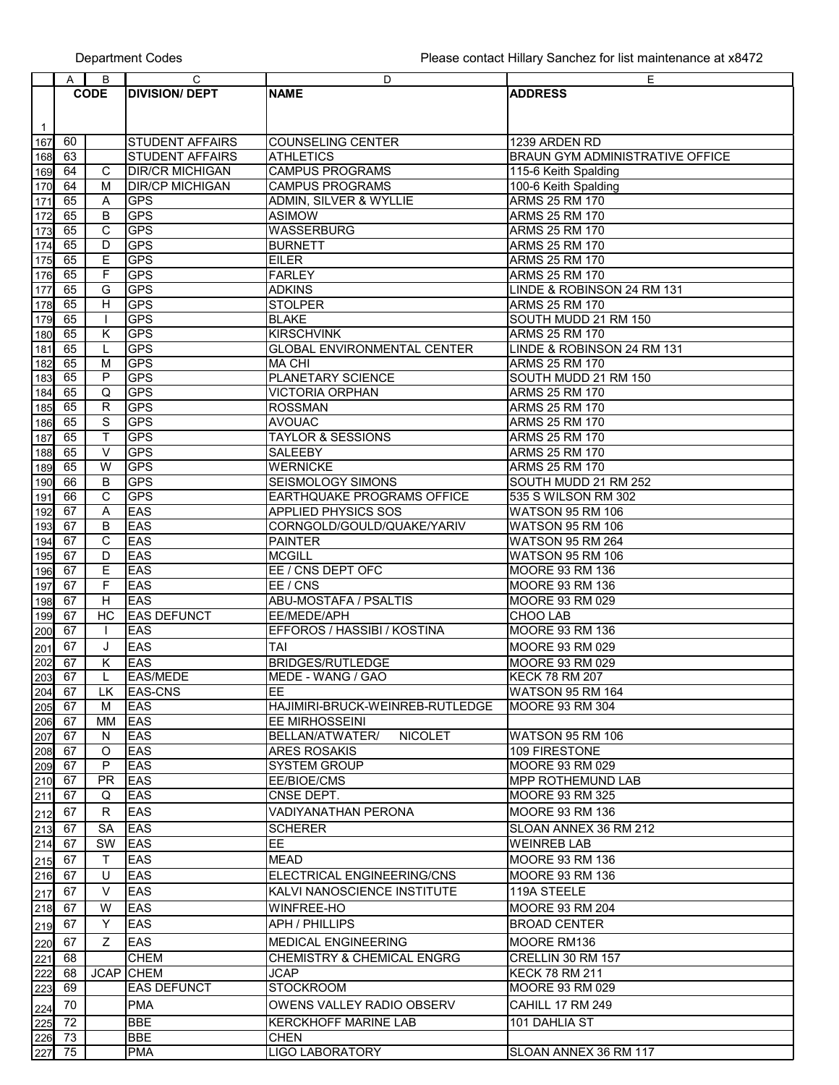|              | A  | в            | C                      | D                                     | E                               |
|--------------|----|--------------|------------------------|---------------------------------------|---------------------------------|
|              |    | <b>CODE</b>  | <b>DIVISION/ DEPT</b>  | <b>NAME</b>                           | <b>ADDRESS</b>                  |
|              |    |              |                        |                                       |                                 |
|              |    |              |                        |                                       |                                 |
| $\mathbf{1}$ |    |              |                        |                                       |                                 |
| 167          | 60 |              | <b>STUDENT AFFAIRS</b> | <b>COUNSELING CENTER</b>              | 1239 ARDEN RD                   |
| 168          | 63 |              | <b>STUDENT AFFAIRS</b> | <b>ATHLETICS</b>                      | BRAUN GYM ADMINISTRATIVE OFFICE |
| 169          | 64 | С            | <b>DIR/CR MICHIGAN</b> | <b>CAMPUS PROGRAMS</b>                | 115-6 Keith Spalding            |
| 170          | 64 | м            | <b>DIR/CP MICHIGAN</b> | <b>CAMPUS PROGRAMS</b>                | 100-6 Keith Spalding            |
| 171          | 65 | A            | <b>GPS</b>             | ADMIN, SILVER & WYLLIE                | ARMS 25 RM 170                  |
| 172          | 65 | B            | <b>GPS</b>             | <b>ASIMOW</b>                         | ARMS 25 RM 170                  |
| 173          | 65 | С            | <b>GPS</b>             | WASSERBURG                            | ARMS 25 RM 170                  |
| 174          | 65 | D            | <b>GPS</b>             | <b>BURNETT</b>                        | ARMS 25 RM 170                  |
| 175          | 65 | Ε            | <b>GPS</b>             | <b>EILER</b>                          | ARMS 25 RM 170                  |
| 176          | 65 | F            | <b>GPS</b>             | <b>FARLEY</b>                         | ARMS 25 RM 170                  |
| 177          | 65 | G            | <b>GPS</b>             | <b>ADKINS</b>                         | LINDE & ROBINSON 24 RM 131      |
|              | 65 | H            | <b>GPS</b>             |                                       | ARMS 25 RM 170                  |
| 178          |    |              |                        | <b>STOLPER</b>                        |                                 |
| 179          | 65 |              | <b>GPS</b>             | <b>BLAKE</b>                          | SOUTH MUDD 21 RM 150            |
| 180          | 65 | K            | <b>GPS</b>             | <b>KIRSCHVINK</b>                     | ARMS 25 RM 170                  |
| 181          | 65 | L            | <b>GPS</b>             | <b>GLOBAL ENVIRONMENTAL CENTER</b>    | LINDE & ROBINSON 24 RM 131      |
| 182          | 65 | M            | <b>GPS</b>             | <b>MA CHI</b>                         | <b>ARMS 25 RM 170</b>           |
| 183          | 65 | P            | <b>GPS</b>             | PLANETARY SCIENCE                     | SOUTH MUDD 21 RM 150            |
| 184          | 65 | Q            | <b>GPS</b>             | <b>VICTORIA ORPHAN</b>                | ARMS 25 RM 170                  |
| 185          | 65 | R            | <b>GPS</b>             | <b>ROSSMAN</b>                        | ARMS 25 RM 170                  |
| 186          | 65 | S            | <b>GPS</b>             | <b>AVOUAC</b>                         | ARMS 25 RM 170                  |
| 187          | 65 | T            | <b>GPS</b>             | <b>TAYLOR &amp; SESSIONS</b>          | ARMS 25 RM 170                  |
| 188          | 65 | $\vee$       | <b>GPS</b>             | SALEEBY                               | ARMS 25 RM 170                  |
| 189          | 65 | W            | <b>GPS</b>             | <b>WERNICKE</b>                       | ARMS 25 RM 170                  |
|              | 66 |              | <b>GPS</b>             |                                       |                                 |
| 190          | 66 | B            |                        | SEISMOLOGY SIMONS                     | SOUTH MUDD 21 RM 252            |
| 191          |    | C            | <b>GPS</b>             | EARTHQUAKE PROGRAMS OFFICE            | 535 S WILSON RM 302             |
| 192          | 67 | Α            | <b>EAS</b>             | APPLIED PHYSICS SOS                   | <b>WATSON 95 RM 106</b>         |
| 193          | 67 | B            | EAS                    | CORNGOLD/GOULD/QUAKE/YARIV            | <b>WATSON 95 RM 106</b>         |
| 194          | 67 | C            | EAS                    | <b>PAINTER</b>                        | <b>WATSON 95 RM 264</b>         |
| 195          | 67 | D            | EAS                    | <b>MCGILL</b>                         | <b>WATSON 95 RM 106</b>         |
| 196          | 67 | Ε            | EAS                    | EE / CNS DEPT OFC                     | <b>MOORE 93 RM 136</b>          |
| 197          | 67 | F            | EAS                    | EE / CNS                              | MOORE 93 RM 136                 |
| 198          | 67 | H            | <b>EAS</b>             | ABU-MOSTAFA / PSALTIS                 | MOORE 93 RM 029                 |
| 199          | 67 | HC           | <b>EAS DEFUNCT</b>     | EE/MEDE/APH                           | CHOO LAB                        |
| 200          | 67 | $\mathbf{I}$ | EAS                    | EFFOROS / HASSIBI / KOSTINA           | MOORE 93 RM 136                 |
|              | 67 | J            | <b>EAS</b>             | TAI                                   | MOORE 93 RM 029                 |
| 201          |    |              |                        |                                       |                                 |
| 202          | 67 | K            | <b>EAS</b>             | BRIDGES/RUTLEDGE                      | MOORE 93 RM 029                 |
| 203          | 67 | L            | <b>EAS/MEDE</b>        | MEDE - WANG / GAO                     | <b>KECK 78 RM 207</b>           |
| 204 67       |    | LK.          | <b>EAS-CNS</b>         | EE.                                   | <b>WATSON 95 RM 164</b>         |
| 205          | 67 | м            | <b>IEAS</b>            | HAJIMIRI-BRUCK-WEINREB-RUTLEDGE       | <b>MOORE 93 RM 304</b>          |
| 206          | 67 | МM           | <b>EAS</b>             | <b>EE MIRHOSSEINI</b>                 |                                 |
| 207          | 67 | N            | <b>EAS</b>             | BELLAN/ATWATER/<br><b>NICOLET</b>     | <b>WATSON 95 RM 106</b>         |
| 208          | 67 | O            | <b>EAS</b>             | <b>ARES ROSAKIS</b>                   | 109 FIRESTONE                   |
| 209          | 67 | P            | <b>IEAS</b>            | <b>SYSTEM GROUP</b>                   | MOORE 93 RM 029                 |
| 210          | 67 | <b>PR</b>    | EAS                    | EE/BIOE/CMS                           | MPP ROTHEMUND LAB               |
| 211          | 67 | Q            | EAS                    | CNSE DEPT.                            | MOORE 93 RM 325                 |
|              | 67 | R            | <b>EAS</b>             | <b>VADIYANATHAN PERONA</b>            | <b>MOORE 93 RM 136</b>          |
| 212          |    |              |                        |                                       |                                 |
| 213          | 67 | <b>SA</b>    | <b>EAS</b>             | <b>SCHERER</b>                        | SLOAN ANNEX 36 RM 212           |
| 214          | 67 | <b>SW</b>    | <b>IEAS</b>            | EE.                                   | <b>WEINREB LAB</b>              |
| 215          | 67 | T            | <b>IEAS</b>            | <b>MEAD</b>                           | <b>MOORE 93 RM 136</b>          |
| 216          | 67 | U            | <b>EAS</b>             | ELECTRICAL ENGINEERING/CNS            | <b>MOORE 93 RM 136</b>          |
| 217          | 67 | $\vee$       | <b>EAS</b>             | KALVI NANOSCIENCE INSTITUTE           | 119A STEELE                     |
| 218          | 67 | W            | <b>EAS</b>             | WINFREE-HO                            | <b>MOORE 93 RM 204</b>          |
|              |    |              |                        |                                       |                                 |
| 219          | 67 | Y            | <b>EAS</b>             | APH / PHILLIPS                        | <b>BROAD CENTER</b>             |
| 220          | 67 | Ζ            | <b>EAS</b>             | <b>MEDICAL ENGINEERING</b>            | MOORE RM136                     |
| 221          | 68 |              | <b>CHEM</b>            | <b>CHEMISTRY &amp; CHEMICAL ENGRG</b> | CRELLIN 30 RM 157               |
| 222          | 68 |              | <b>JCAP CHEM</b>       | <b>JCAP</b>                           | <b>KECK 78 RM 211</b>           |
| 223          | 69 |              | <b>EAS DEFUNCT</b>     | <b>STOCKROOM</b>                      | MOORE 93 RM 029                 |
|              |    |              | <b>PMA</b>             |                                       |                                 |
| 224          | 70 |              |                        | OWENS VALLEY RADIO OBSERV             | CAHILL 17 RM 249                |
| 225          | 72 |              | <b>BBE</b>             | <b>KERCKHOFF MARINE LAB</b>           | 101 DAHLIA ST                   |
| 226          | 73 |              | <b>BBE</b>             | <b>CHEN</b>                           |                                 |
| 227          | 75 |              | <b>PMA</b>             | <b>LIGO LABORATORY</b>                | SLOAN ANNEX 36 RM 117           |